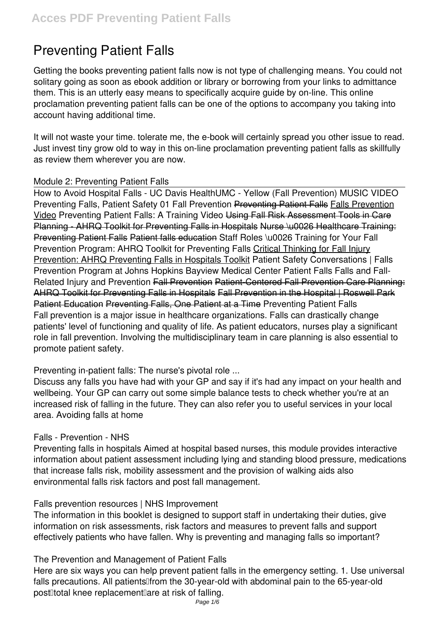# **Preventing Patient Falls**

Getting the books **preventing patient falls** now is not type of challenging means. You could not solitary going as soon as ebook addition or library or borrowing from your links to admittance them. This is an utterly easy means to specifically acquire guide by on-line. This online proclamation preventing patient falls can be one of the options to accompany you taking into account having additional time.

It will not waste your time. tolerate me, the e-book will certainly spread you other issue to read. Just invest tiny grow old to way in this on-line proclamation **preventing patient falls** as skillfully as review them wherever you are now.

#### *Module 2: Preventing Patient Falls*

How to Avoid Hospital Falls - UC Davis Health*UMC - Yellow (Fall Prevention) MUSIC VIDEO* **Preventing Falls, Patient Safety 01 Fall Prevention Preventing Patient Falls Falls Prevention** Video *Preventing Patient Falls: A Training Video* Using Fall Risk Assessment Tools in Care Planning - AHRQ Toolkit for Preventing Falls in Hospitals Nurse \u0026 Healthcare Training: Preventing Patient Falls Patient falls education *Staff Roles \u0026 Training for Your Fall Prevention Program: AHRQ Toolkit for Preventing Falls* Critical Thinking for Fall Injury Prevention: AHRQ Preventing Falls in Hospitals Toolkit *Patient Safety Conversations | Falls Prevention Program at Johns Hopkins Bayview Medical Center* **Patient Falls** *Falls and Fall-Related Injury and Prevention* Fall Prevention Patient-Centered Fall Prevention Care Planning: AHRQ Toolkit for Preventing Falls in Hospitals Fall Prevention in the Hospital | Roswell Park Patient Education Preventing Falls, One Patient at a Time Preventing Patient Falls Fall prevention is a major issue in healthcare organizations. Falls can drastically change patients' level of functioning and quality of life. As patient educators, nurses play a significant role in fall prevention. Involving the multidisciplinary team in care planning is also essential to promote patient safety.

# Preventing in-patient falls: The nurse's pivotal role ...

Discuss any falls you have had with your GP and say if it's had any impact on your health and wellbeing. Your GP can carry out some simple balance tests to check whether you're at an increased risk of falling in the future. They can also refer you to useful services in your local area. Avoiding falls at home

#### Falls - Prevention - NHS

Preventing falls in hospitals Aimed at hospital based nurses, this module provides interactive information about patient assessment including lying and standing blood pressure, medications that increase falls risk, mobility assessment and the provision of walking aids also environmental falls risk factors and post fall management.

#### Falls prevention resources | NHS Improvement

The information in this booklet is designed to support staff in undertaking their duties, give information on risk assessments, risk factors and measures to prevent falls and support effectively patients who have fallen. Why is preventing and managing falls so important?

#### The Prevention and Management of Patient Falls

Here are six ways you can help prevent patient falls in the emergency setting. 1. Use universal falls precautions. All patients<sup>[[from the 30-year-old with abdominal pain to the 65-year-old</sup> post<sup>[1</sup>total knee replacement<sup>[2]</sup> are at risk of falling.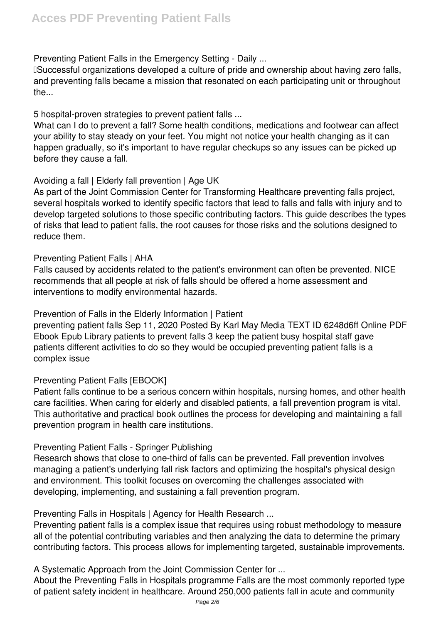Preventing Patient Falls in the Emergency Setting - Daily ...

**ISuccessful organizations developed a culture of pride and ownership about having zero falls,** and preventing falls became a mission that resonated on each participating unit or throughout the...

5 hospital-proven strategies to prevent patient falls ...

What can I do to prevent a fall? Some health conditions, medications and footwear can affect your ability to stay steady on your feet. You might not notice your health changing as it can happen gradually, so it's important to have regular checkups so any issues can be picked up before they cause a fall.

# Avoiding a fall | Elderly fall prevention | Age UK

As part of the Joint Commission Center for Transforming Healthcare preventing falls project, several hospitals worked to identify specific factors that lead to falls and falls with injury and to develop targeted solutions to those specific contributing factors. This guide describes the types of risks that lead to patient falls, the root causes for those risks and the solutions designed to reduce them.

### Preventing Patient Falls | AHA

Falls caused by accidents related to the patient's environment can often be prevented. NICE recommends that all people at risk of falls should be offered a home assessment and interventions to modify environmental hazards.

Prevention of Falls in the Elderly Information | Patient

preventing patient falls Sep 11, 2020 Posted By Karl May Media TEXT ID 6248d6ff Online PDF Ebook Epub Library patients to prevent falls 3 keep the patient busy hospital staff gave patients different activities to do so they would be occupied preventing patient falls is a complex issue

# Preventing Patient Falls [EBOOK]

Patient falls continue to be a serious concern within hospitals, nursing homes, and other health care facilities. When caring for elderly and disabled patients, a fall prevention program is vital. This authoritative and practical book outlines the process for developing and maintaining a fall prevention program in health care institutions.

# Preventing Patient Falls - Springer Publishing

Research shows that close to one-third of falls can be prevented. Fall prevention involves managing a patient's underlying fall risk factors and optimizing the hospital's physical design and environment. This toolkit focuses on overcoming the challenges associated with developing, implementing, and sustaining a fall prevention program.

Preventing Falls in Hospitals | Agency for Health Research ...

Preventing patient falls is a complex issue that requires using robust methodology to measure all of the potential contributing variables and then analyzing the data to determine the primary contributing factors. This process allows for implementing targeted, sustainable improvements.

A Systematic Approach from the Joint Commission Center for ...

About the Preventing Falls in Hospitals programme Falls are the most commonly reported type of patient safety incident in healthcare. Around 250,000 patients fall in acute and community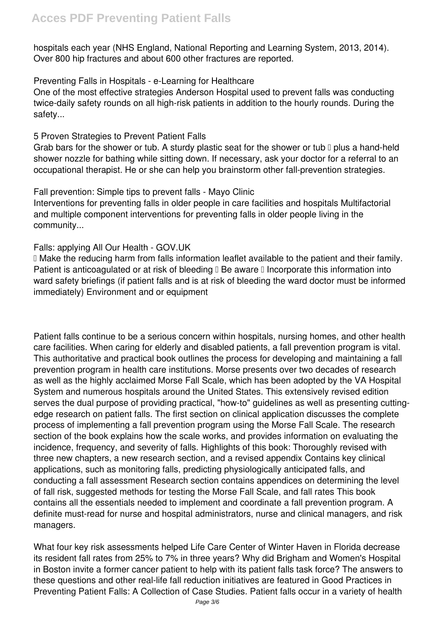hospitals each year (NHS England, National Reporting and Learning System, 2013, 2014). Over 800 hip fractures and about 600 other fractures are reported.

#### Preventing Falls in Hospitals - e-Learning for Healthcare

One of the most effective strategies Anderson Hospital used to prevent falls was conducting twice-daily safety rounds on all high-risk patients in addition to the hourly rounds. During the safety...

### 5 Proven Strategies to Prevent Patient Falls

Grab bars for the shower or tub. A sturdy plastic seat for the shower or tub  $\mathbb I$  plus a hand-held shower nozzle for bathing while sitting down. If necessary, ask your doctor for a referral to an occupational therapist. He or she can help you brainstorm other fall-prevention strategies.

# Fall prevention: Simple tips to prevent falls - Mayo Clinic

Interventions for preventing falls in older people in care facilities and hospitals Multifactorial and multiple component interventions for preventing falls in older people living in the community...

### Falls: applying All Our Health - GOV.UK

 Make the reducing harm from falls information leaflet available to the patient and their family. Patient is anticoagulated or at risk of bleeding  $\mathbb I$  Be aware  $\mathbb I$  Incorporate this information into ward safety briefings (if patient falls and is at risk of bleeding the ward doctor must be informed immediately) Environment and or equipment

Patient falls continue to be a serious concern within hospitals, nursing homes, and other health care facilities. When caring for elderly and disabled patients, a fall prevention program is vital. This authoritative and practical book outlines the process for developing and maintaining a fall prevention program in health care institutions. Morse presents over two decades of research as well as the highly acclaimed Morse Fall Scale, which has been adopted by the VA Hospital System and numerous hospitals around the United States. This extensively revised edition serves the dual purpose of providing practical, "how-to" guidelines as well as presenting cuttingedge research on patient falls. The first section on clinical application discusses the complete process of implementing a fall prevention program using the Morse Fall Scale. The research section of the book explains how the scale works, and provides information on evaluating the incidence, frequency, and severity of falls. Highlights of this book: Thoroughly revised with three new chapters, a new research section, and a revised appendix Contains key clinical applications, such as monitoring falls, predicting physiologically anticipated falls, and conducting a fall assessment Research section contains appendices on determining the level of fall risk, suggested methods for testing the Morse Fall Scale, and fall rates This book contains all the essentials needed to implement and coordinate a fall prevention program. A definite must-read for nurse and hospital administrators, nurse and clinical managers, and risk managers.

What four key risk assessments helped Life Care Center of Winter Haven in Florida decrease its resident fall rates from 25% to 7% in three years? Why did Brigham and Women's Hospital in Boston invite a former cancer patient to help with its patient falls task force? The answers to these questions and other real-life fall reduction initiatives are featured in Good Practices in Preventing Patient Falls: A Collection of Case Studies. Patient falls occur in a variety of health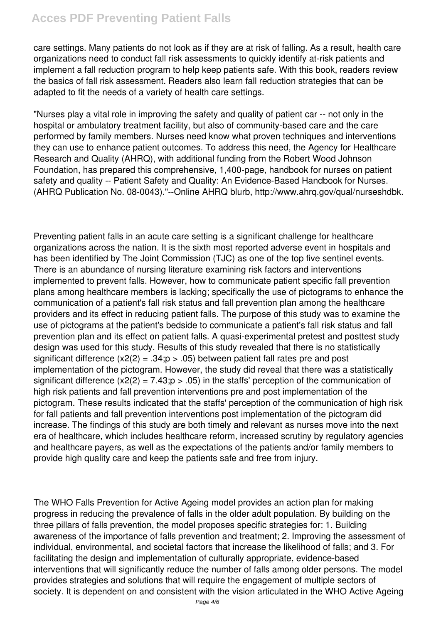# **Acces PDF Preventing Patient Falls**

care settings. Many patients do not look as if they are at risk of falling. As a result, health care organizations need to conduct fall risk assessments to quickly identify at-risk patients and implement a fall reduction program to help keep patients safe. With this book, readers review the basics of fall risk assessment. Readers also learn fall reduction strategies that can be adapted to fit the needs of a variety of health care settings.

"Nurses play a vital role in improving the safety and quality of patient car -- not only in the hospital or ambulatory treatment facility, but also of community-based care and the care performed by family members. Nurses need know what proven techniques and interventions they can use to enhance patient outcomes. To address this need, the Agency for Healthcare Research and Quality (AHRQ), with additional funding from the Robert Wood Johnson Foundation, has prepared this comprehensive, 1,400-page, handbook for nurses on patient safety and quality -- Patient Safety and Quality: An Evidence-Based Handbook for Nurses. (AHRQ Publication No. 08-0043)."--Online AHRQ blurb, http://www.ahrq.gov/qual/nurseshdbk.

Preventing patient falls in an acute care setting is a significant challenge for healthcare organizations across the nation. It is the sixth most reported adverse event in hospitals and has been identified by The Joint Commission (TJC) as one of the top five sentinel events. There is an abundance of nursing literature examining risk factors and interventions implemented to prevent falls. However, how to communicate patient specific fall prevention plans among healthcare members is lacking; specifically the use of pictograms to enhance the communication of a patient's fall risk status and fall prevention plan among the healthcare providers and its effect in reducing patient falls. The purpose of this study was to examine the use of pictograms at the patient's bedside to communicate a patient's fall risk status and fall prevention plan and its effect on patient falls. A quasi-experimental pretest and posttest study design was used for this study. Results of this study revealed that there is no statistically significant difference  $(x2(2) = .34; p > .05)$  between patient fall rates pre and post implementation of the pictogram. However, the study did reveal that there was a statistically significant difference  $(x2(2) = 7.43; p > .05)$  in the staffs' perception of the communication of high risk patients and fall prevention interventions pre and post implementation of the pictogram. These results indicated that the staffs' perception of the communication of high risk for fall patients and fall prevention interventions post implementation of the pictogram did increase. The findings of this study are both timely and relevant as nurses move into the next era of healthcare, which includes healthcare reform, increased scrutiny by regulatory agencies and healthcare payers, as well as the expectations of the patients and/or family members to provide high quality care and keep the patients safe and free from injury.

The WHO Falls Prevention for Active Ageing model provides an action plan for making progress in reducing the prevalence of falls in the older adult population. By building on the three pillars of falls prevention, the model proposes specific strategies for: 1. Building awareness of the importance of falls prevention and treatment; 2. Improving the assessment of individual, environmental, and societal factors that increase the likelihood of falls; and 3. For facilitating the design and implementation of culturally appropriate, evidence-based interventions that will significantly reduce the number of falls among older persons. The model provides strategies and solutions that will require the engagement of multiple sectors of society. It is dependent on and consistent with the vision articulated in the WHO Active Ageing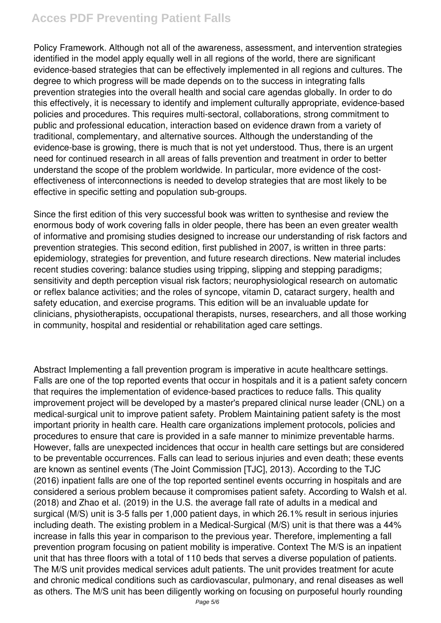# **Acces PDF Preventing Patient Falls**

Policy Framework. Although not all of the awareness, assessment, and intervention strategies identified in the model apply equally well in all regions of the world, there are significant evidence-based strategies that can be effectively implemented in all regions and cultures. The degree to which progress will be made depends on to the success in integrating falls prevention strategies into the overall health and social care agendas globally. In order to do this effectively, it is necessary to identify and implement culturally appropriate, evidence-based policies and procedures. This requires multi-sectoral, collaborations, strong commitment to public and professional education, interaction based on evidence drawn from a variety of traditional, complementary, and alternative sources. Although the understanding of the evidence-base is growing, there is much that is not yet understood. Thus, there is an urgent need for continued research in all areas of falls prevention and treatment in order to better understand the scope of the problem worldwide. In particular, more evidence of the costeffectiveness of interconnections is needed to develop strategies that are most likely to be effective in specific setting and population sub-groups.

Since the first edition of this very successful book was written to synthesise and review the enormous body of work covering falls in older people, there has been an even greater wealth of informative and promising studies designed to increase our understanding of risk factors and prevention strategies. This second edition, first published in 2007, is written in three parts: epidemiology, strategies for prevention, and future research directions. New material includes recent studies covering: balance studies using tripping, slipping and stepping paradigms; sensitivity and depth perception visual risk factors; neurophysiological research on automatic or reflex balance activities; and the roles of syncope, vitamin D, cataract surgery, health and safety education, and exercise programs. This edition will be an invaluable update for clinicians, physiotherapists, occupational therapists, nurses, researchers, and all those working in community, hospital and residential or rehabilitation aged care settings.

Abstract Implementing a fall prevention program is imperative in acute healthcare settings. Falls are one of the top reported events that occur in hospitals and it is a patient safety concern that requires the implementation of evidence-based practices to reduce falls. This quality improvement project will be developed by a master's prepared clinical nurse leader (CNL) on a medical-surgical unit to improve patient safety. Problem Maintaining patient safety is the most important priority in health care. Health care organizations implement protocols, policies and procedures to ensure that care is provided in a safe manner to minimize preventable harms. However, falls are unexpected incidences that occur in health care settings but are considered to be preventable occurrences. Falls can lead to serious injuries and even death; these events are known as sentinel events (The Joint Commission [TJC], 2013). According to the TJC (2016) inpatient falls are one of the top reported sentinel events occurring in hospitals and are considered a serious problem because it compromises patient safety. According to Walsh et al. (2018) and Zhao et al. (2019) in the U.S. the average fall rate of adults in a medical and surgical (M/S) unit is 3-5 falls per 1,000 patient days, in which 26.1% result in serious injuries including death. The existing problem in a Medical-Surgical (M/S) unit is that there was a 44% increase in falls this year in comparison to the previous year. Therefore, implementing a fall prevention program focusing on patient mobility is imperative. Context The M/S is an inpatient unit that has three floors with a total of 110 beds that serves a diverse population of patients. The M/S unit provides medical services adult patients. The unit provides treatment for acute and chronic medical conditions such as cardiovascular, pulmonary, and renal diseases as well as others. The M/S unit has been diligently working on focusing on purposeful hourly rounding